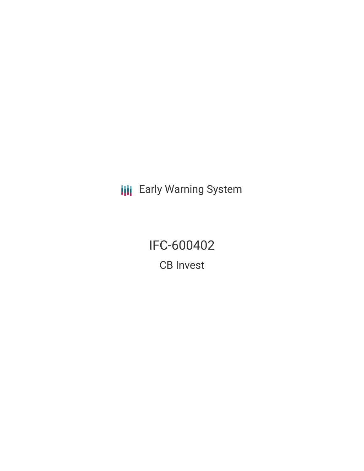**III** Early Warning System

IFC-600402 CB Invest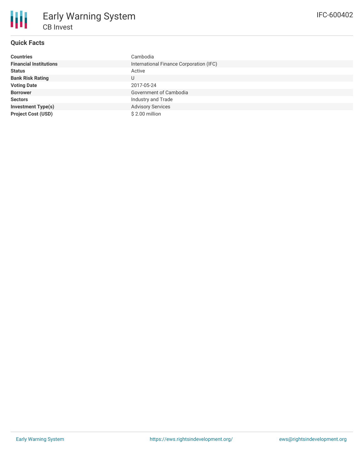

## **Quick Facts**

| <b>Countries</b>              | Cambodia                                |
|-------------------------------|-----------------------------------------|
| <b>Financial Institutions</b> | International Finance Corporation (IFC) |
| <b>Status</b>                 | Active                                  |
| <b>Bank Risk Rating</b>       | U                                       |
| <b>Voting Date</b>            | 2017-05-24                              |
| <b>Borrower</b>               | Government of Cambodia                  |
| <b>Sectors</b>                | Industry and Trade                      |
| <b>Investment Type(s)</b>     | <b>Advisory Services</b>                |
| <b>Project Cost (USD)</b>     | \$2.00 million                          |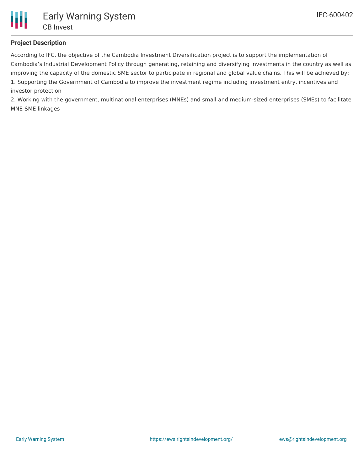## **Project Description**

According to IFC, the objective of the Cambodia Investment Diversification project is to support the implementation of Cambodia's Industrial Development Policy through generating, retaining and diversifying investments in the country as well as improving the capacity of the domestic SME sector to participate in regional and global value chains. This will be achieved by: 1. Supporting the Government of Cambodia to improve the investment regime including investment entry, incentives and investor protection

2. Working with the government, multinational enterprises (MNEs) and small and medium-sized enterprises (SMEs) to facilitate MNE-SME linkages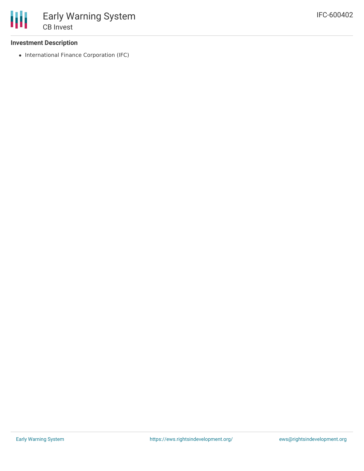## **Investment Description**

• International Finance Corporation (IFC)